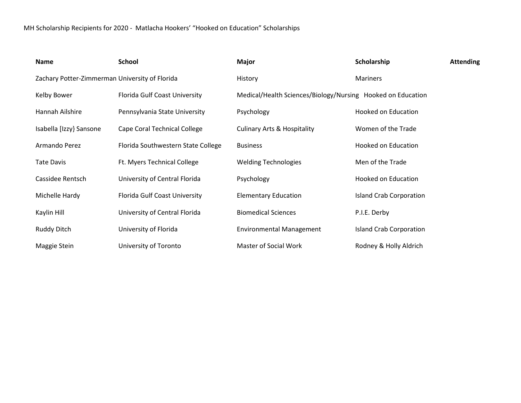| <b>Name</b>                                    | <b>School</b>                      | <b>Major</b>                                                | Scholarship                    | <b>Attending</b> |
|------------------------------------------------|------------------------------------|-------------------------------------------------------------|--------------------------------|------------------|
| Zachary Potter-Zimmerman University of Florida |                                    | History                                                     | <b>Mariners</b>                |                  |
| Kelby Bower                                    | Florida Gulf Coast University      | Medical/Health Sciences/Biology/Nursing Hooked on Education |                                |                  |
| Hannah Ailshire                                | Pennsylvania State University      | Psychology                                                  | Hooked on Education            |                  |
| Isabella [Izzy] Sansone                        | Cape Coral Technical College       | <b>Culinary Arts &amp; Hospitality</b>                      | Women of the Trade             |                  |
| Armando Perez                                  | Florida Southwestern State College | <b>Business</b>                                             | <b>Hooked on Education</b>     |                  |
| <b>Tate Davis</b>                              | Ft. Myers Technical College        | <b>Welding Technologies</b>                                 | Men of the Trade               |                  |
| Cassidee Rentsch                               | University of Central Florida      | Psychology                                                  | Hooked on Education            |                  |
| Michelle Hardy                                 | Florida Gulf Coast University      | <b>Elementary Education</b>                                 | <b>Island Crab Corporation</b> |                  |
| Kaylin Hill                                    | University of Central Florida      | <b>Biomedical Sciences</b>                                  | P.I.E. Derby                   |                  |
| Ruddy Ditch                                    | University of Florida              | <b>Environmental Management</b>                             | <b>Island Crab Corporation</b> |                  |
| Maggie Stein                                   | University of Toronto              | <b>Master of Social Work</b>                                | Rodney & Holly Aldrich         |                  |